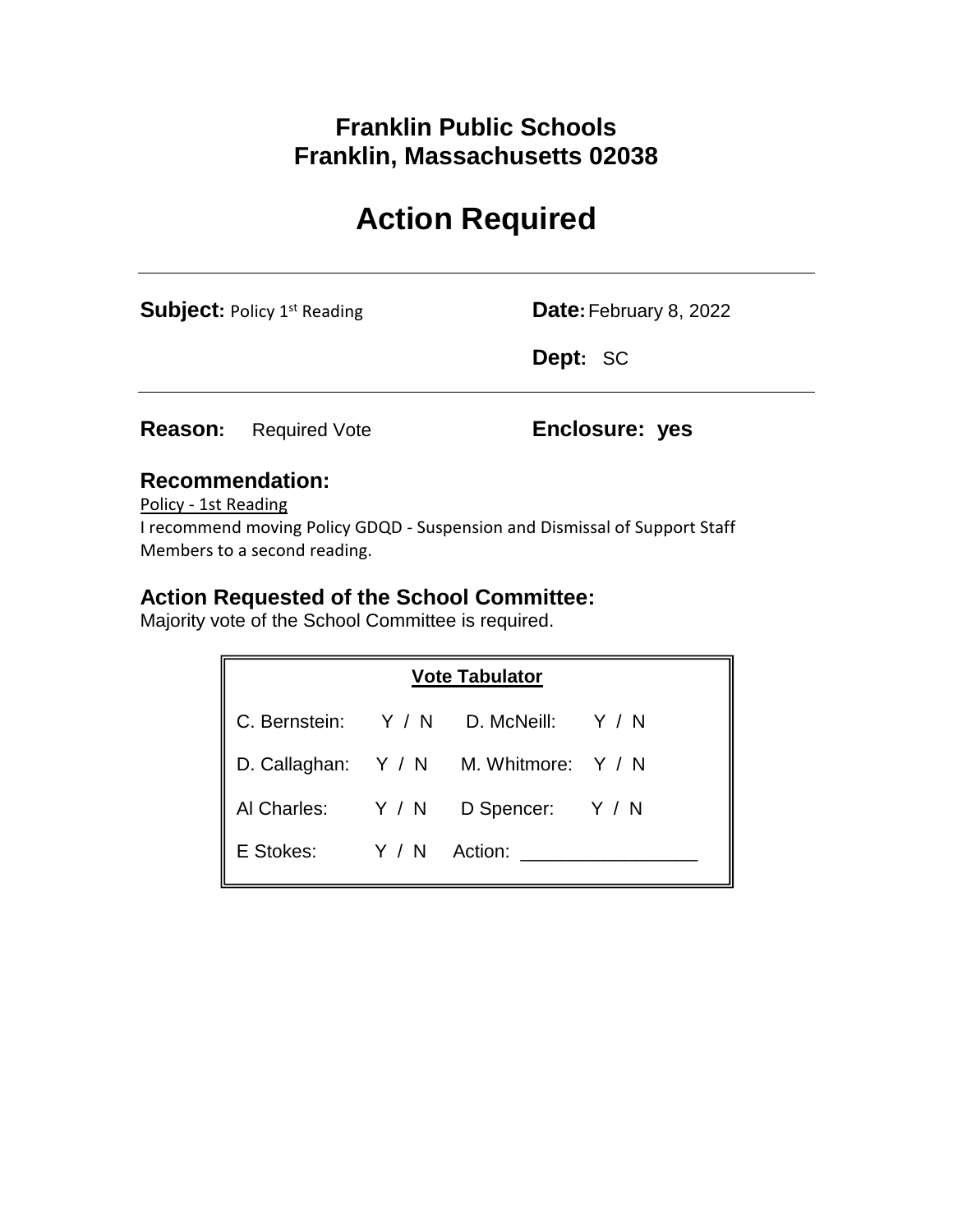## **Franklin Public Schools Franklin, Massachusetts 02038**

# **Action Required**

**Subject:** Policy 1<sup>st</sup> Reading **Date:** February 8, 2022

**Dept:** SC

**Reason:** Required Vote **Enclosure: yes**

### **Recommendation:**

Policy - 1st Reading

I recommend moving Policy GDQD - Suspension and Dismissal of Support Staff Members to a second reading.

## **Action Requested of the School Committee:**

Majority vote of the School Committee is required.

| <b>Vote Tabulator</b>   |  |                                        |  |
|-------------------------|--|----------------------------------------|--|
|                         |  | C. Bernstein: Y / N D. McNeill: Y / N  |  |
|                         |  | D. Callaghan: Y / N M. Whitmore: Y / N |  |
| Al Charles: Y / N       |  | D Spencer: Y / N                       |  |
| E Stokes: Y / N Action: |  |                                        |  |